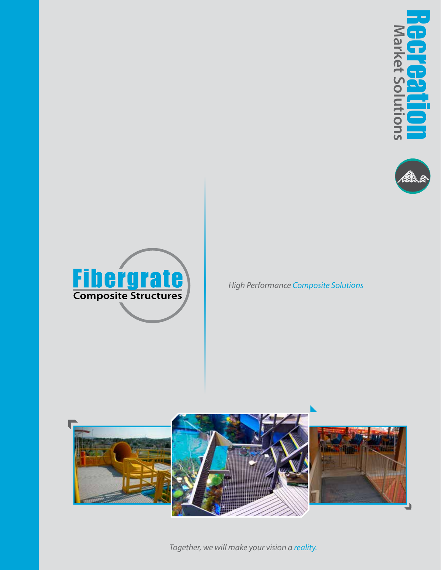





*High Performance Composite Solutions*



*Together, we will make your vision a reality.*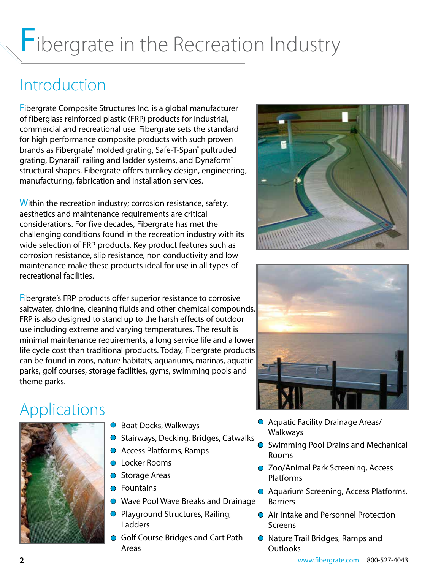# Fibergrate in the Recreation Industry

### Introduction

Fibergrate Composite Structures Inc. is a global manufacturer of fiberglass reinforced plastic (FRP) products for industrial, commercial and recreational use. Fibergrate sets the standard for high performance composite products with such proven brands as Fibergrate® molded grating, Safe-T-Span® pultruded grating, Dynarail® railing and ladder systems, and Dynaform® structural shapes. Fibergrate offers turnkey design, engineering, manufacturing, fabrication and installation services.

Within the recreation industry; corrosion resistance, safety, aesthetics and maintenance requirements are critical considerations. For five decades, Fibergrate has met the challenging conditions found in the recreation industry with its wide selection of FRP products. Key product features such as corrosion resistance, slip resistance, non conductivity and low maintenance make these products ideal for use in all types of recreational facilities.

Fibergrate's FRP products offer superior resistance to corrosive saltwater, chlorine, cleaning fluids and other chemical compounds. FRP is also designed to stand up to the harsh effects of outdoor use including extreme and varying temperatures. The result is minimal maintenance requirements, a long service life and a lower life cycle cost than traditional products. Today, Fibergrate products can be found in zoos, nature habitats, aquariums, marinas, aquatic parks, golf courses, storage facilities, gyms, swimming pools and theme parks.

### Applications



- Boat Docks, Walkways
- $\circ$  Stairways, Decking, Bridges, Catwalks
- Access Platforms, Ramps
- **O** Locker Rooms
- **Storage Areas**
- **O** Fountains
- **●** Wave Pool Wave Breaks and Drainage
- **O** Playground Structures, Railing, Ladders
- G Golf Course Bridges and Cart Path Areas





- Aquatic Facility Drainage Areas/ Walkways
- Swimming Pool Drains and Mechanical Rooms
- Zoo/Animal Park Screening, Access Platforms
- Aquarium Screening, Access Platforms, **Barriers**
- Air Intake and Personnel Protection Screens
- Nature Trail Bridges, Ramps and **Outlooks**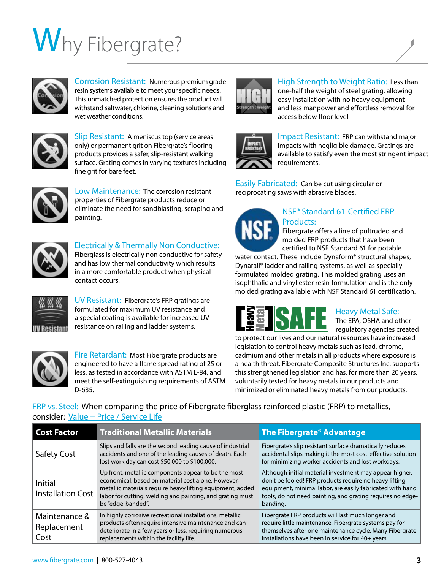# Why Fibergrate?



Corrosion Resistant: Numerous premium grade resin systems available to meet your specific needs. This unmatched protection ensures the product will withstand saltwater, chlorine, cleaning solutions and wet weather conditions.



Slip Resistant: A meniscus top (service areas only) or permanent grit on Fibergrate's flooring products provides a safer, slip-resistant walking surface. Grating comes in varying textures including fine grit for bare feet.



Low Maintenance: The corrosion resistant properties of Fibergrate products reduce or eliminate the need for sandblasting, scraping and painting.



Electrically & Thermally Non Conductive: Fiberglass is electrically non conductive for safety

and has low thermal conductivity which results in a more comfortable product when physical contact occurs.



UV Resistant: Fibergrate's FRP gratings are formulated for maximum UV resistance and a special coating is available for increased UV resistance on railing and ladder systems.



Fire Retardant: Most Fibergrate products are engineered to have a flame spread rating of 25 or less, as tested in accordance with ASTM E-84, and meet the self-extinguishing requirements of ASTM D-635.



High Strength to Weight Ratio: Less than one-half the weight of steel grating, allowing easy installation with no heavy equipment and less manpower and effortless removal for access below floor level



Impact Resistant: FRP can withstand major impacts with negligible damage. Gratings are available to satisfy even the most stringent impact requirements.

Easily Fabricated: Can be cut using circular or reciprocating saws with abrasive blades.



#### NSF® Standard 61-Certified FRP Products:

Fibergrate offers a line of pultruded and molded FRP products that have been certified to NSF Standard 61 for potable

water contact. These include Dynaform® structural shapes, Dynarail® ladder and railing systems, as well as specially formulated molded grating. This molded grating uses an isophthalic and vinyl ester resin formulation and is the only molded grating available with NSF Standard 61 certification.



Heavy Metal Safe:

The EPA, OSHA and other regulatory agencies created

to protect our lives and our natural resources have increased legislation to control heavy metals such as lead, chrome, cadmium and other metals in all products where exposure is a health threat. Fibergrate Composite Structures Inc. supports this strengthened legislation and has, for more than 20 years, voluntarily tested for heavy metals in our products and minimized or eliminated heavy metals from our products.

FRP vs. Steel: When comparing the price of Fibergrate fiberglass reinforced plastic (FRP) to metallics, consider: Value = Price / Service Life

| <b>Cost Factor</b>                   | <b>Traditional Metallic Materials</b>                                                                                                                                                                                                                    | The Fibergrate® Advantage                                                                                                                                                                                                                                |
|--------------------------------------|----------------------------------------------------------------------------------------------------------------------------------------------------------------------------------------------------------------------------------------------------------|----------------------------------------------------------------------------------------------------------------------------------------------------------------------------------------------------------------------------------------------------------|
| Safety Cost                          | Slips and falls are the second leading cause of industrial<br>accidents and one of the leading causes of death. Each<br>lost work day can cost \$50,000 to \$100,000.                                                                                    | Fibergrate's slip resistant surface dramatically reduces<br>accidental slips making it the most cost-effective solution<br>for minimizing worker accidents and lost workdays.                                                                            |
| Initial<br><b>Installation Cost</b>  | Up front, metallic components appear to be the most<br>economical, based on material cost alone. However,<br>metallic materials require heavy lifting equipment, added<br>labor for cutting, welding and painting, and grating must<br>be "edge-banded". | Although initial material investment may appear higher,<br>don't be fooled! FRP products require no heavy lifting<br>equipment, minimal labor, are easily fabricated with hand<br>tools, do not need painting, and grating requires no edge-<br>banding. |
| Maintenance &<br>Replacement<br>Cost | In highly corrosive recreational installations, metallic<br>products often require intensive maintenance and can<br>deteriorate in a few years or less, requiring numerous<br>replacements within the facility life.                                     | Fibergrate FRP products will last much longer and<br>require little maintenance. Fibergrate systems pay for<br>themselves after one maintenance cycle. Many Fibergrate<br>installations have been in service for 40+ years.                              |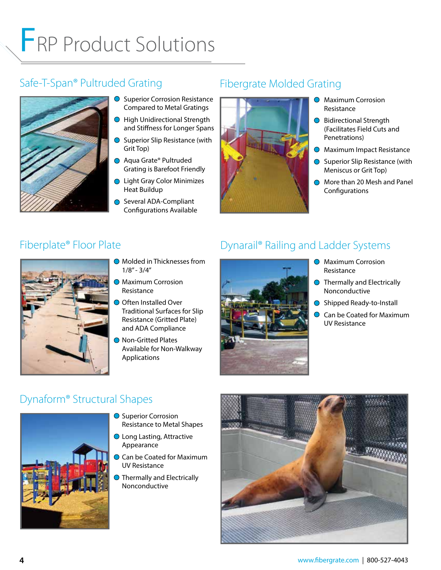## FRP Product Solutions

### Safe-T-Span® Pultruded Grating



- **O** Superior Corrosion Resistance Compared to Metal Gratings
- High Unidirectional Strength and Stiffness for Longer Spans
- $\bigcirc$  Superior Slip Resistance (with Grit Top)
- Aqua Grate® Pultruded Grating is Barefoot Friendly
- **Light Gray Color Minimizes** Heat Buildup
- Several ADA-Compliant Configurations Available

### Fibergrate Molded Grating



- **O** Maximum Corrosion Resistance
- **●** Bidirectional Strength (Facilitates Field Cuts and Penetrations)
- **O** Maximum Impact Resistance
- Superior Slip Resistance (with Meniscus or Grit Top)
- More than 20 Mesh and Panel **Configurations**

#### Fiberplate® Floor Plate



- **Molded in Thicknesses from**  $1/8" - 3/4"$
- **Maximum Corrosion** Resistance
- O Often Installed Over Traditional Surfaces for Slip Resistance (Gritted Plate) and ADA Compliance
- **Non-Gritted Plates** Available for Non-Walkway Applications

#### Dynarail® Railing and Ladder Systems



- **O** Maximum Corrosion Resistance
- $\bigcirc$  Thermally and Electrically Nonconductive
- Shipped Ready-to-Install
- Can be Coated for Maximum UV Resistance

#### Dynaform® Structural Shapes



- **Superior Corrosion** Resistance to Metal Shapes
- **Long Lasting, Attractive** Appearance
- Can be Coated for Maximum UV Resistance
- **Thermally and Electrically** Nonconductive

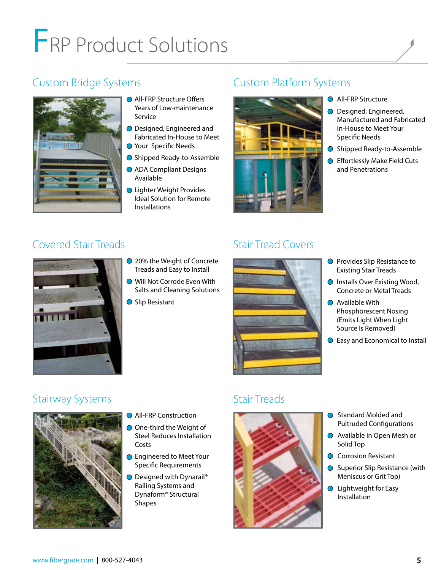## FRP Product Solutions

#### Custom Bridge Systems



- **All-FRP Structure Offers** Years of Low-maintenance Service
- **○** Designed, Engineered and Fabricated In-House to Meet
- Your Specific Needs
- Shipped Ready-to-Assemble
- ADA Compliant Designs Available
- **Lighter Weight Provides** Ideal Solution for Remote Installations

### Custom Platform Systems



- **All-FRP Structure**
- **○** Designed, Engineered, Manufactured and Fabricated In-House to Meet Your Specific Needs
- Shipped Ready-to-Assemble
- **Effortlessly Make Field Cuts** and Penetrations

#### Covered Stair Treads



- **20% the Weight of Concrete** Treads and Easy to Install
- **Will Not Corrode Even With** Salts and Cleaning Solutions
- **Slip Resistant**

### Stair Tread Covers



- **O** Provides Slip Resistance to Existing Stair Treads
- Installs Over Existing Wood, Concrete or Metal Treads
- **●** Available With Phosphorescent Nosing (Emits Light When Light Source Is Removed)
- **Easy and Economical to Install**

#### Stairway Systems



- **All-FRP Construction**
- **○** One-third the Weight of Steel Reduces Installation Costs
- **D** Engineered to Meet Your Specific Requirements
- Designed with Dynarail<sup>®</sup> Railing Systems and Dynaform® Structural Shapes

#### Stair Treads



- Standard Molded and Pultruded Configurations
- Available in Open Mesh or Solid Top
- C Corrosion Resistant
- **◯** Superior Slip Resistance (with Meniscus or Grit Top)
- **◯** Lightweight for Easy Installation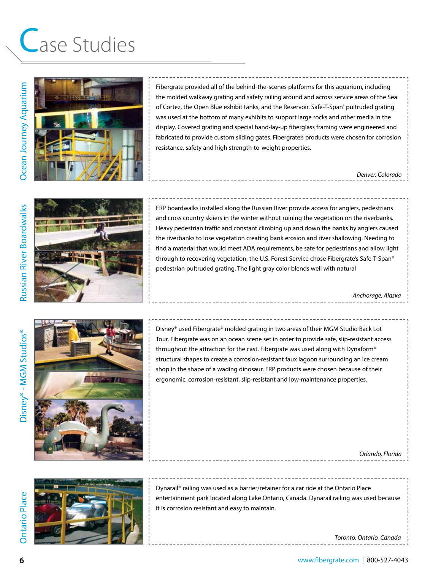### Case Studies



Fibergrate provided all of the behind-the-scenes platforms for this aquarium, including the molded walkway grating and safety railing around and across service areas of the Sea of Cortez, the Open Blue exhibit tanks, and the Reservoir. Safe-T-Span<sup>®</sup> pultruded grating was used at the bottom of many exhibits to support large rocks and other media in the display. Covered grating and special hand-lay-up fiberglass framing were engineered and fabricated to provide custom sliding gates. Fibergrate's products were chosen for corrosion resistance, safety and high strength-to-weight properties.

*Denver, Colorado*



FRP boardwalks installed along the Russian River provide access for anglers, pedestrians and cross country skiiers in the winter without ruining the vegetation on the riverbanks. Heavy pedestrian traffic and constant climbing up and down the banks by anglers caused the riverbanks to lose vegetation creating bank erosion and river shallowing. Needing to find a material that would meet ADA requirements, be safe for pedestrians and allow light through to recovering vegetation, the U.S. Forest Service chose Fibergrate's Safe-T-Span® pedestrian pultruded grating. The light gray color blends well with natural

*Anchorage, Alaska*



Disney® used Fibergrate® molded grating in two areas of their MGM Studio Back Lot Tour. Fibergrate was on an ocean scene set in order to provide safe, slip-resistant access throughout the attraction for the cast. Fibergrate was used along with Dynaform® structural shapes to create a corrosion-resistant faux lagoon surrounding an ice cream shop in the shape of a wading dinosaur. FRP products were chosen because of their ergonomic, corrosion-resistant, slip-resistant and low-maintenance properties.

*Orlando, Florida*

Dynarail® railing was used as a barrier/retainer for a car ride at the Ontario Place entertainment park located along Lake Ontario, Canada. Dynarail railing was used because it is corrosion resistant and easy to maintain.

*Toronto, Ontario, Canada*

Ontario Place

**Ontario Place**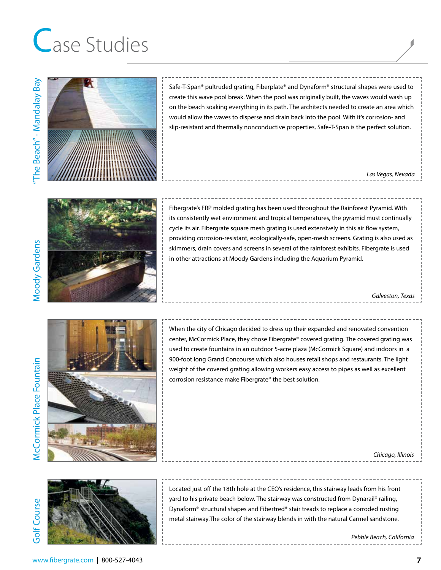### Case Studies



Safe-T-Span® pultruded grating, Fiberplate® and Dynaform® structural shapes were used to create this wave pool break. When the pool was originally built, the waves would wash up on the beach soaking everything in its path. The architects needed to create an area which would allow the waves to disperse and drain back into the pool. With it's corrosion- and slip-resistant and thermally nonconductive properties, Safe-T-Span is the perfect solution.

#### *Las Vegas, Nevada*



Fibergrate's FRP molded grating has been used throughout the Rainforest Pyramid. With its consistently wet environment and tropical temperatures, the pyramid must continually cycle its air. Fibergrate square mesh grating is used extensively in this air flow system, providing corrosion-resistant, ecologically-safe, open-mesh screens. Grating is also used as skimmers, drain covers and screens in several of the rainforest exhibits. Fibergrate is used in other attractions at Moody Gardens including the Aquarium Pyramid.

*Galveston, Texas*



When the city of Chicago decided to dress up their expanded and renovated convention center, McCormick Place, they chose Fibergrate® covered grating. The covered grating was used to create fountains in an outdoor 5-acre plaza (McCormick Square) and indoors in a 900-foot long Grand Concourse which also houses retail shops and restaurants. The light weight of the covered grating allowing workers easy access to pipes as well as excellent corrosion resistance make Fibergrate® the best solution.

Golf Course Golf Course



Located just off the 18th hole at the CEO's residence, this stairway leads from his front yard to his private beach below. The stairway was constructed from Dynarail® railing, Dynaform® structural shapes and Fibertred® stair treads to replace a corroded rusting metal stairway.The color of the stairway blends in with the natural Carmel sandstone.

*Pebble Beach, California*

*Chicago, Illinois*